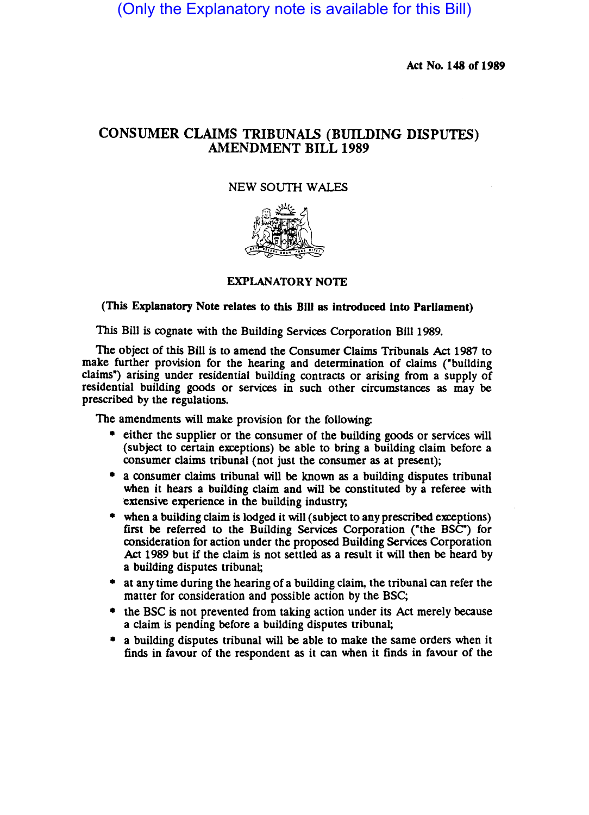(Only the Explanatory note is available for this Bill)

Act No. 148 of 1989

## CONSUMER CLAIMS TRIBUNALS (BUILDING DISPUTES) AMENDMENT BILL 1989

## NEW SOUTH WALES



## EXPLANATORY NOTE

## (This Explanatory Note relates to this BiU as introduced Into Parliament)

This Bill is cognate with the Building Services Corporation Bill 1989.

The object of this Bill is to amend the Consumer Claims Tribunals Act 1987 to make further prOvision for the hearing and determination of claims ("building claims") arising under residential building contracts or arising from a supply of residential building goods or services in such other circumstances as may be prescribed by the regulations.

The amendments will make provision for the following:

- either the supplier or the consumer of the building goods or services will (subject to certain exceptions) be able to bring a building claim before a consumer claims tribunal (not just the consumer as at present);
- a consumer claims tribunal will be known as a building disputes tribunal when it hears a building claim and will be constituted by a referee with extensive experience in the building industry;
- when a building claim is lodged it will (subject to any prescribed exceptions) first be referred to the Building Services Corporation ("the BSC") for consideration for action under the proposed Building Services Corporation Act 1989 but if the claim is not settled as a result it will then be heard by a building disputes tribunal;
- at any time during the hearing of a building claim, the tribunal can refer the matter for consideration and possible action by the BSC;
- the BSC is not prevented from taking action under its Act merely because a claim is pending before a building disputes tribunal;
- a building disputes tribunal will be able to make the same orders when it finds in favour of the respondent as it can when it finds in favour of the